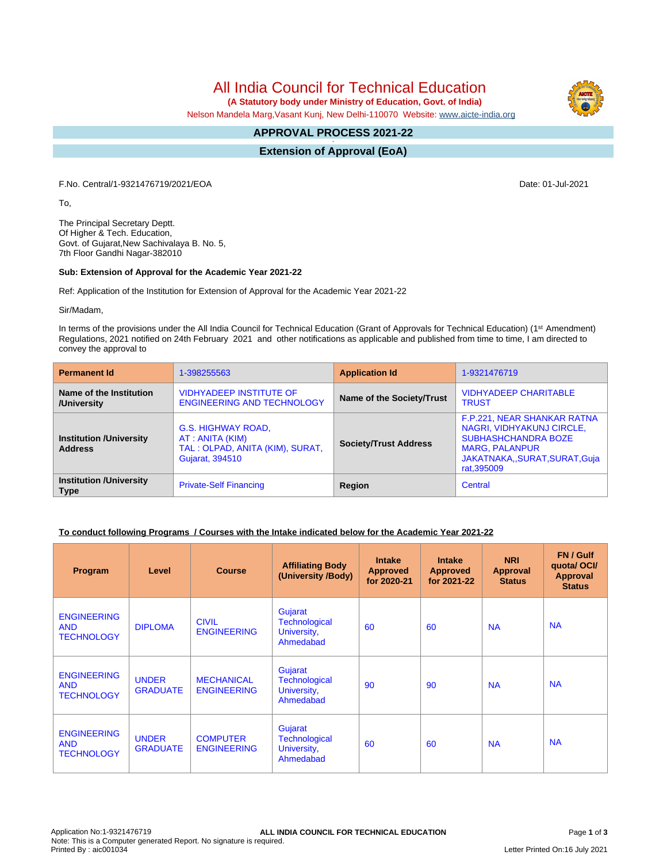# All India Council for Technical Education

 **(A Statutory body under Ministry of Education, Govt. of India)**

Nelson Mandela Marg,Vasant Kunj, New Delhi-110070 Website: [www.aicte-india.org](http://www.aicte-india.org)

#### **APPROVAL PROCESS 2021-22 -**

**Extension of Approval (EoA)**

F.No. Central/1-9321476719/2021/EOA Date: 01-Jul-2021

To,

The Principal Secretary Deptt. Of Higher & Tech. Education, Govt. of Gujarat,New Sachivalaya B. No. 5, 7th Floor Gandhi Nagar-382010

### **Sub: Extension of Approval for the Academic Year 2021-22**

Ref: Application of the Institution for Extension of Approval for the Academic Year 2021-22

Sir/Madam,

In terms of the provisions under the All India Council for Technical Education (Grant of Approvals for Technical Education) (1<sup>st</sup> Amendment) Regulations, 2021 notified on 24th February 2021 and other notifications as applicable and published from time to time, I am directed to convey the approval to

| <b>Permanent Id</b>                              | 1-398255563                                                                                 | <b>Application Id</b>        | 1-9321476719                                                                                                                                                     |
|--------------------------------------------------|---------------------------------------------------------------------------------------------|------------------------------|------------------------------------------------------------------------------------------------------------------------------------------------------------------|
| Name of the Institution<br>/University           | <b>VIDHYADEEP INSTITUTE OF</b><br><b>ENGINEERING AND TECHNOLOGY</b>                         | Name of the Society/Trust    | <b>VIDHYADEEP CHARITABLE</b><br><b>TRUST</b>                                                                                                                     |
| <b>Institution /University</b><br><b>Address</b> | G.S. HIGHWAY ROAD,<br>AT: ANITA (KIM)<br>TAL: OLPAD, ANITA (KIM), SURAT,<br>Gujarat, 394510 | <b>Society/Trust Address</b> | F.P.221, NEAR SHANKAR RATNA<br>NAGRI, VIDHYAKUNJ CIRCLE,<br><b>SUBHASHCHANDRA BOZE</b><br><b>MARG, PALANPUR</b><br>JAKATNAKA,, SURAT, SURAT, Guja<br>rat, 395009 |
| <b>Institution /University</b><br><b>Type</b>    | <b>Private-Self Financing</b>                                                               | Region                       | Central                                                                                                                                                          |

### **To conduct following Programs / Courses with the Intake indicated below for the Academic Year 2021-22**

| Program                                               | Level                           | <b>Course</b>                           | <b>Affiliating Body</b><br>(University /Body)               | <b>Intake</b><br><b>Approved</b><br>for 2020-21 | <b>Intake</b><br><b>Approved</b><br>for 2021-22 | <b>NRI</b><br>Approval<br><b>Status</b> | FN / Gulf<br>quotal OCI/<br><b>Approval</b><br><b>Status</b> |
|-------------------------------------------------------|---------------------------------|-----------------------------------------|-------------------------------------------------------------|-------------------------------------------------|-------------------------------------------------|-----------------------------------------|--------------------------------------------------------------|
| <b>ENGINEERING</b><br><b>AND</b><br><b>TECHNOLOGY</b> | <b>DIPLOMA</b>                  | <b>CIVIL</b><br><b>ENGINEERING</b>      | Gujarat<br><b>Technological</b><br>University,<br>Ahmedabad | 60                                              | 60                                              | <b>NA</b>                               | <b>NA</b>                                                    |
| <b>ENGINEERING</b><br><b>AND</b><br><b>TECHNOLOGY</b> | <b>UNDER</b><br><b>GRADUATE</b> | <b>MECHANICAL</b><br><b>ENGINEERING</b> | Gujarat<br><b>Technological</b><br>University,<br>Ahmedabad | 90                                              | 90                                              | <b>NA</b>                               | <b>NA</b>                                                    |
| <b>ENGINEERING</b><br><b>AND</b><br><b>TECHNOLOGY</b> | <b>UNDER</b><br><b>GRADUATE</b> | <b>COMPUTER</b><br><b>ENGINEERING</b>   | Gujarat<br><b>Technological</b><br>University,<br>Ahmedabad | 60                                              | 60                                              | <b>NA</b>                               | <b>NA</b>                                                    |

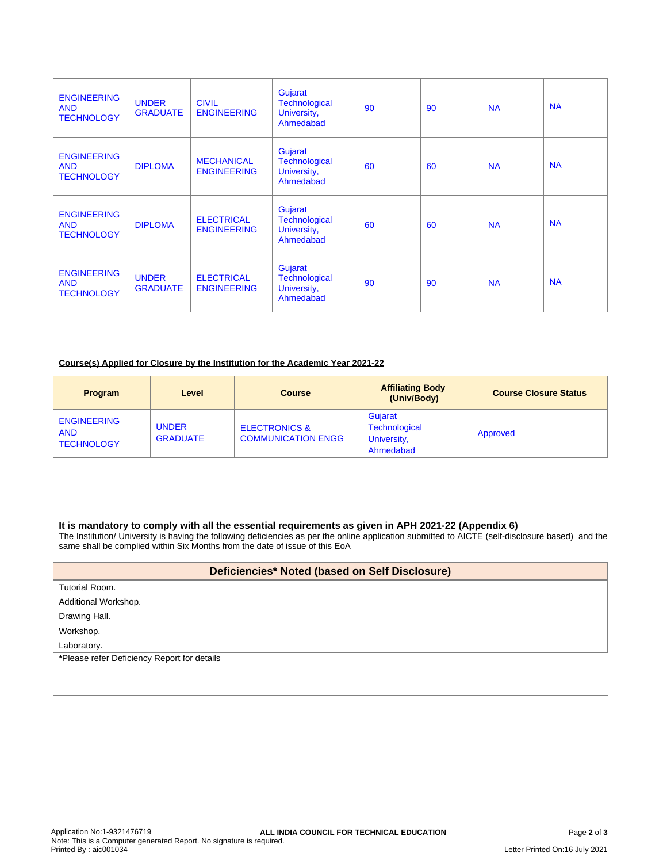| <b>ENGINEERING</b><br><b>AND</b><br><b>TECHNOLOGY</b> | <b>UNDER</b><br><b>GRADUATE</b> | <b>CIVIL</b><br><b>ENGINEERING</b>      | Gujarat<br><b>Technological</b><br>University,<br>Ahmedabad | 90 | 90 | <b>NA</b> | <b>NA</b> |
|-------------------------------------------------------|---------------------------------|-----------------------------------------|-------------------------------------------------------------|----|----|-----------|-----------|
| <b>ENGINEERING</b><br><b>AND</b><br><b>TECHNOLOGY</b> | <b>DIPLOMA</b>                  | <b>MECHANICAL</b><br><b>ENGINEERING</b> | Gujarat<br><b>Technological</b><br>University,<br>Ahmedabad | 60 | 60 | <b>NA</b> | <b>NA</b> |
| <b>ENGINEERING</b><br><b>AND</b><br><b>TECHNOLOGY</b> | <b>DIPLOMA</b>                  | <b>ELECTRICAL</b><br><b>ENGINEERING</b> | Gujarat<br><b>Technological</b><br>University,<br>Ahmedabad | 60 | 60 | <b>NA</b> | <b>NA</b> |
| <b>ENGINEERING</b><br><b>AND</b><br><b>TECHNOLOGY</b> | <b>UNDER</b><br><b>GRADUATE</b> | <b>ELECTRICAL</b><br><b>ENGINEERING</b> | Gujarat<br>Technological<br>University,<br>Ahmedabad        | 90 | 90 | <b>NA</b> | <b>NA</b> |

### **Course(s) Applied for Closure by the Institution for the Academic Year 2021-22**

| <b>Program</b>                                        | Level                           | <b>Course</b>                                         | <b>Affiliating Body</b><br>(Univ/Body)               | <b>Course Closure Status</b> |
|-------------------------------------------------------|---------------------------------|-------------------------------------------------------|------------------------------------------------------|------------------------------|
| <b>ENGINEERING</b><br><b>AND</b><br><b>TECHNOLOGY</b> | <b>UNDER</b><br><b>GRADUATE</b> | <b>ELECTRONICS &amp;</b><br><b>COMMUNICATION ENGG</b> | Guiarat<br>Technological<br>University,<br>Ahmedabad | Approved                     |

### **It is mandatory to comply with all the essential requirements as given in APH 2021-22 (Appendix 6)**

The Institution/ University is having the following deficiencies as per the online application submitted to AICTE (self-disclosure based) and the same shall be complied within Six Months from the date of issue of this EoA

| Deficiencies* Noted (based on Self Disclosure) |
|------------------------------------------------|
| Tutorial Room.                                 |
| Additional Workshop.                           |
| Drawing Hall.                                  |
| Workshop.                                      |
| Laboratory.                                    |

**\***Please refer Deficiency Report for details